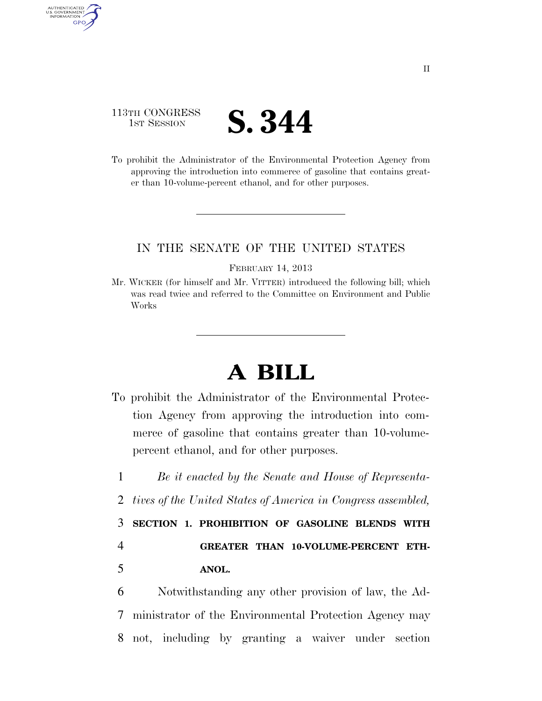## 113TH CONGRESS **1ST SESSION S. 344**

AUTHENTICATED<br>U.S. GOVERNMENT<br>INFORMATION GPO

> To prohibit the Administrator of the Environmental Protection Agency from approving the introduction into commerce of gasoline that contains greater than 10-volume-percent ethanol, and for other purposes.

### IN THE SENATE OF THE UNITED STATES

#### FEBRUARY 14, 2013

Mr. WICKER (for himself and Mr. VITTER) introduced the following bill; which was read twice and referred to the Committee on Environment and Public Works

# **A BILL**

- To prohibit the Administrator of the Environmental Protection Agency from approving the introduction into commerce of gasoline that contains greater than 10-volumepercent ethanol, and for other purposes.
- 1 *Be it enacted by the Senate and House of Representa-*
- 2 *tives of the United States of America in Congress assembled,*

3 **SECTION 1. PROHIBITION OF GASOLINE BLENDS WITH** 

4 **GREATER THAN 10-VOLUME-PERCENT ETH-**5 **ANOL.** 

6 Notwithstanding any other provision of law, the Ad-7 ministrator of the Environmental Protection Agency may 8 not, including by granting a waiver under section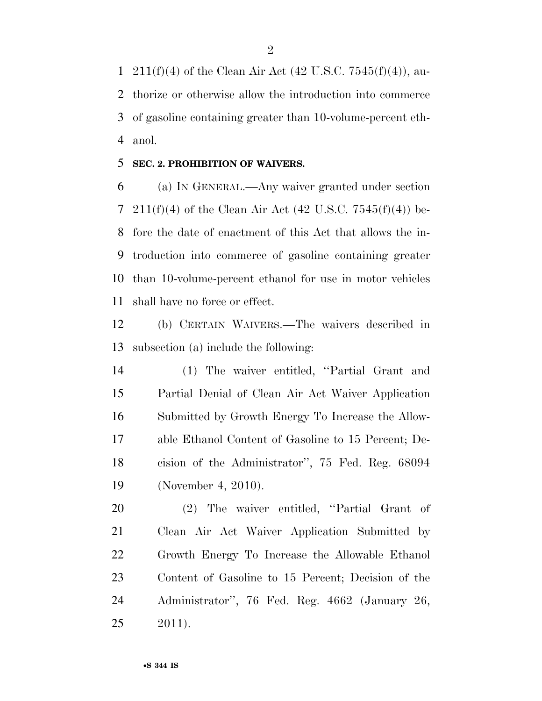1 211(f)(4) of the Clean Air Act (42 U.S.C. 7545(f)(4)), au- thorize or otherwise allow the introduction into commerce of gasoline containing greater than 10-volume-percent eth-anol.

### **SEC. 2. PROHIBITION OF WAIVERS.**

 (a) IN GENERAL.—Any waiver granted under section 7 211(f)(4) of the Clean Air Act (42 U.S.C. 7545(f)(4)) be- fore the date of enactment of this Act that allows the in- troduction into commerce of gasoline containing greater than 10-volume-percent ethanol for use in motor vehicles shall have no force or effect.

 (b) CERTAIN WAIVERS.—The waivers described in subsection (a) include the following:

 (1) The waiver entitled, ''Partial Grant and Partial Denial of Clean Air Act Waiver Application Submitted by Growth Energy To Increase the Allow- able Ethanol Content of Gasoline to 15 Percent; De- cision of the Administrator'', 75 Fed. Reg. 68094 (November 4, 2010).

 (2) The waiver entitled, ''Partial Grant of Clean Air Act Waiver Application Submitted by Growth Energy To Increase the Allowable Ethanol Content of Gasoline to 15 Percent; Decision of the Administrator'', 76 Fed. Reg. 4662 (January 26, 2011).